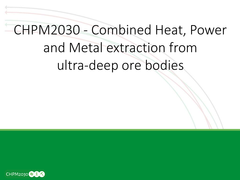# CHPM2030 - Combined Heat, Power and Metal extraction from ultra-deep ore bodies

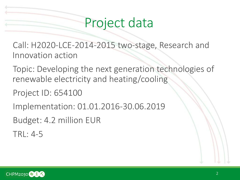## Project data

Call: H2020-LCE-2014-2015 two-stage, Research and Innovation action

Topic: Developing the next generation technologies of renewable electricity and heating/cooling

Project ID: 654100

Implementation: 01.01.2016-30.06.2019

Budget: 4.2 million EUR

TRL: 4-5

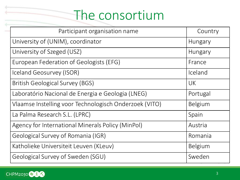## The consortium

| Participant organisation name                          | Country   |
|--------------------------------------------------------|-----------|
| University of (UNIM), coordinator                      | Hungary   |
| University of Szeged (USZ)                             | Hungary   |
| European Federation of Geologists (EFG)                | France    |
| Iceland Geosurvey (ISOR)                               | Iceland   |
| <b>British Geological Survey (BGS)</b>                 | <b>UK</b> |
| Laboratório Nacional de Energia e Geologia (LNEG)      | Portugal  |
| Vlaamse Instelling voor Technologisch Onderzoek (VITO) | Belgium   |
| La Palma Research S.L. (LPRC)                          | Spain     |
| Agency for International Minerals Policy (MinPol)      | Austria   |
| Geological Survey of Romania (IGR)                     | Romania   |
| Katholieke Universiteit Leuven (KLeuv)                 | Belgium   |
| Geological Survey of Sweden (SGU)                      | Sweden    |

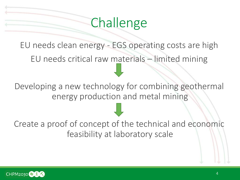## **Challenge**

EU needs clean energy - EGS operating costs are high EU needs critical raw materials – limited mining

Developing a new technology for combining geothermal energy production and metal mining

Create a proof of concept of the technical and economic feasibility at laboratory scale

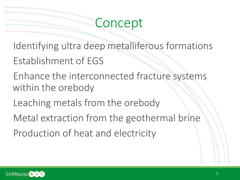### Concept

Identifying ultra deep metalliferous formations Establishment of EGS

Enhance the interconnected fracture systems within the orebody

Leaching metals from the orebody

Metal extraction from the geothermal brine Production of heat and electricity

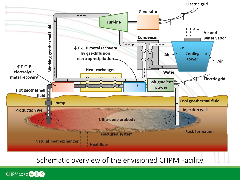

Schematic overview of the envisioned CHPM Facility

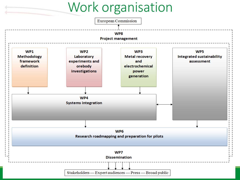## Work organisation

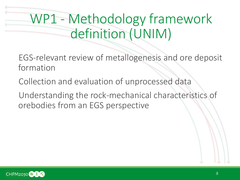## WP1 - Methodology framework definition (UNIM)

- EGS-relevant review of metallogenesis and ore deposit formation
- Collection and evaluation of unprocessed data
- Understanding the rock-mechanical characteristics of orebodies from an EGS perspective

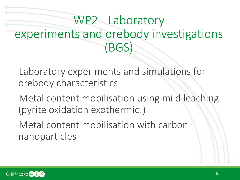## WP2 - Laboratory experiments and orebody investigations (BGS)

Laboratory experiments and simulations for orebody characteristics

Metal content mobilisation using mild leaching (pyrite oxidation exothermic!)

Metal content mobilisation with carbon nanoparticles

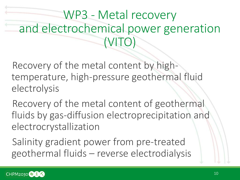## WP3 - Metal recovery and electrochemical power generation (VITO)

Recovery of the metal content by hightemperature, high-pressure geothermal fluid electrolysis

Recovery of the metal content of geothermal fluids by gas-diffusion electroprecipitation and electrocrystallization

Salinity gradient power from pre-treated geothermal fluids – reverse electrodialysis

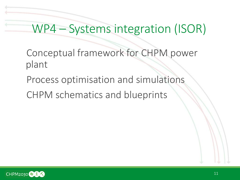#### WP4 – Systems integration (ISOR)

- Conceptual framework for CHPM power plant
- Process optimisation and simulations
- CHPM schematics and blueprints

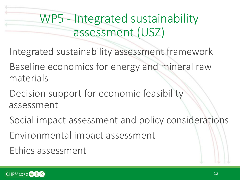## WP5 - Integrated sustainability assessment (USZ)

- Integrated sustainability assessment framework
- Baseline economics for energy and mineral raw materials
- Decision support for economic feasibility assessment
- Social impact assessment and policy considerations Environmental impact assessment Ethics assessment

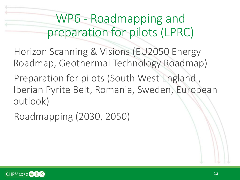WP6 - Roadmapping and preparation for pilots (LPRC)

Horizon Scanning & Visions (EU2050 Energy Roadmap, Geothermal Technology Roadmap)

Preparation for pilots (South West England , Iberian Pyrite Belt, Romania, Sweden, European outlook)

Roadmapping (2030, 2050)

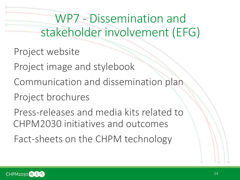WP7 - Dissemination and stakeholder involvement (EFG)

Project website

Project image and stylebook

Communication and dissemination plan

Project brochures

Press-releases and media kits related to CHPM2030 initiatives and outcomes Fact-sheets on the CHPM technology

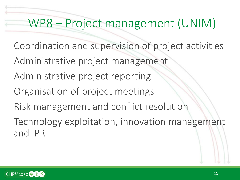WP8 – Project management (UNIM)

- Coordination and supervision of project activities
- Administrative project management
- Administrative project reporting
- Organisation of project meetings
- Risk management and conflict resolution
- Technology exploitation, innovation management and IPR